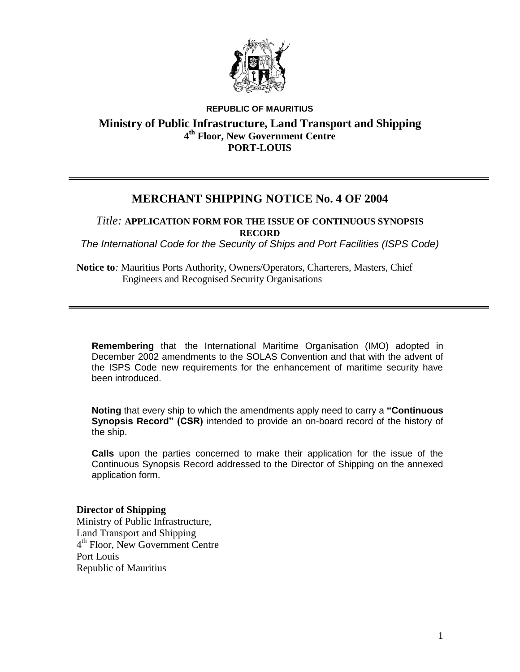

### **REPUBLIC OF MAURITIUS Ministry of Public Infrastructure, Land Transport and Shipping 4 th Floor, New Government Centre PORT-LOUIS**

## **MERCHANT SHIPPING NOTICE No. 4 OF 2004**

*Title:* **APPLICATION FORM FOR THE ISSUE OF CONTINUOUS SYNOPSIS RECORD**

*The International Code for the Security of Ships and Port Facilities (ISPS Code)*

**Notice to***:* Mauritius Ports Authority, Owners/Operators, Charterers, Masters, Chief Engineers and Recognised Security Organisations

**Remembering** that the International Maritime Organisation (IMO) adopted in December 2002 amendments to the SOLAS Convention and that with the advent of the ISPS Code new requirements for the enhancement of maritime security have been introduced.

**Noting** that every ship to which the amendments apply need to carry a **"Continuous Synopsis Record" (CSR)** intended to provide an on-board record of the history of the ship.

**Calls** upon the parties concerned to make their application for the issue of the Continuous Synopsis Record addressed to the Director of Shipping on the annexed application form.

### **Director of Shipping**

Ministry of Public Infrastructure, Land Transport and Shipping 4 th Floor, New Government Centre Port Louis Republic of Mauritius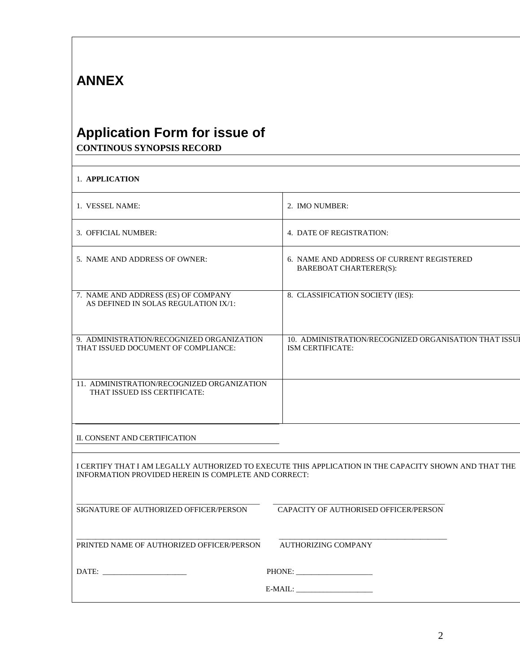# **ANNEX**

## **Application Form for issue of CONTINOUS SYNOPSIS RECORD**

| 1. APPLICATION                                                                                                                                                |                                                                            |
|---------------------------------------------------------------------------------------------------------------------------------------------------------------|----------------------------------------------------------------------------|
| 1. VESSEL NAME:                                                                                                                                               | 2. IMO NUMBER:                                                             |
| 3. OFFICIAL NUMBER:                                                                                                                                           | 4. DATE OF REGISTRATION:                                                   |
| 5. NAME AND ADDRESS OF OWNER:                                                                                                                                 | 6. NAME AND ADDRESS OF CURRENT REGISTERED<br><b>BAREBOAT CHARTERER(S):</b> |
| 7. NAME AND ADDRESS (ES) OF COMPANY<br>AS DEFINED IN SOLAS REGULATION IX/1:                                                                                   | 8. CLASSIFICATION SOCIETY (IES):                                           |
| 9. ADMINISTRATION/RECOGNIZED ORGANIZATION<br>THAT ISSUED DOCUMENT OF COMPLIANCE:                                                                              | 10. ADMINISTRATION/RECOGNIZED ORGANISATION THAT ISSUI<br>ISM CERTIFICATE:  |
| 11. ADMINISTRATION/RECOGNIZED ORGANIZATION<br>THAT ISSUED ISS CERTIFICATE:                                                                                    |                                                                            |
| II. CONSENT AND CERTIFICATION                                                                                                                                 |                                                                            |
| I CERTIFY THAT I AM LEGALLY AUTHORIZED TO EXECUTE THIS APPLICATION IN THE CAPACITY SHOWN AND THAT THE<br>INFORMATION PROVIDED HEREIN IS COMPLETE AND CORRECT: |                                                                            |
| SIGNATURE OF AUTHORIZED OFFICER/PERSON                                                                                                                        | CAPACITY OF AUTHORISED OFFICER/PERSON                                      |
| PRINTED NAME OF AUTHORIZED OFFICER/PERSON                                                                                                                     | <b>AUTHORIZING COMPANY</b>                                                 |
|                                                                                                                                                               |                                                                            |
|                                                                                                                                                               |                                                                            |